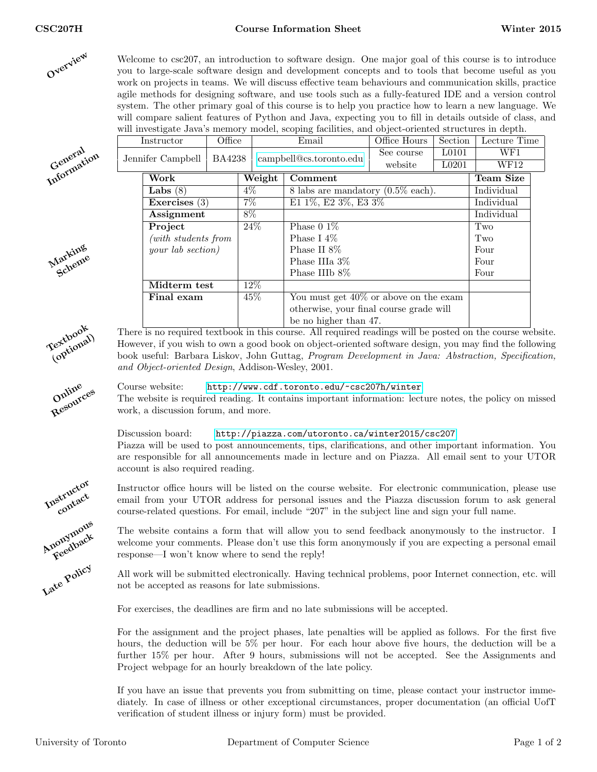

Welcome to csc207, an introduction to software design. One major goal of this course is to introduce you to large-scale software design and development concepts and to tools that become useful as you work on projects in teams. We will discuss effective team behaviours and communication skills, practice agile methods for designing software, and use tools such as a fully-featured IDE and a version control system. The other primary goal of this course is to help you practice how to learn a new language. We will compare salient features of Python and Java, expecting you to fill in details outside of class, and will investigate Java's memory model, scoping facilities, and object-oriented structures in depth.

Instructor | Office | Email | Office Hours | Section | Lecture Time



Marking iarneme

| BA4238<br>Jennifer Campbell |                     |  |                              | campbell@cs.toronto.edu                       | See course | L <sub>0101</sub> | WF1        |
|-----------------------------|---------------------|--|------------------------------|-----------------------------------------------|------------|-------------------|------------|
|                             |                     |  |                              |                                               | website    | L <sub>0201</sub> | WF12       |
|                             | Work                |  | Weight                       | Comment                                       |            |                   | Team Size  |
|                             | Labs $(8)$          |  | $4\%$                        | 8 labs are mandatory $(0.5\% \text{ each})$ . |            |                   | Individual |
|                             | Exercises $(3)$     |  | $7\%$<br>E1 1%, E2 3%, E3 3% |                                               |            |                   | Individual |
|                             | Assignment          |  | $8\%$                        |                                               |            |                   | Individual |
|                             | Project             |  | 24%                          | Phase $0.1\%$                                 |            |                   | Two        |
|                             | (with students from |  |                              | Phase I $4\%$                                 |            |                   | Two        |
|                             | your lab section)   |  |                              | Phase II 8\%                                  |            |                   | Four       |
|                             |                     |  |                              | Phase IIIa 3\%                                |            |                   | Four       |
|                             |                     |  |                              | Phase IIIb 8\%                                |            |                   | Four       |
|                             | Midterm test        |  | $12\%$                       |                                               |            |                   |            |
|                             | Final exam          |  | 45%                          | You must get $40\%$ or above on the exam      |            |                   |            |
|                             |                     |  |                              | otherwise, your final course grade will       |            |                   |            |
|                             |                     |  |                              | be no higher than 47.                         |            |                   |            |

There is no required textbook in this course. All required readings will be posted on the course website. However, if you wish to own a good book on object-oriented software design, you may find the following book useful: Barbara Liskov, John Guttag, Program Development in Java: Abstraction, Specification, and Object-oriented Design, Addison-Wesley, 2001.

Online Resources

Textbook (optional)

Instructor contact Anonymous

Feedback Late Policy

The website is required reading. It contains important information: lecture notes, the policy on missed work, a discussion forum, and more.

Course website: <http://www.cdf.toronto.edu/~csc207h/winter>

Discussion board: <http://piazza.com/utoronto.ca/winter2015/csc207> Piazza will be used to post announcements, tips, clarifications, and other important information. You are responsible for all announcements made in lecture and on Piazza. All email sent to your UTOR account is also required reading.

Instructor office hours will be listed on the course website. For electronic communication, please use email from your UTOR address for personal issues and the Piazza discussion forum to ask general course-related questions. For email, include "207" in the subject line and sign your full name.

The website contains a form that will allow you to send feedback anonymously to the instructor. I welcome your comments. Please don't use this form anonymously if you are expecting a personal email response—I won't know where to send the reply!

All work will be submitted electronically. Having technical problems, poor Internet connection, etc. will not be accepted as reasons for late submissions.

For exercises, the deadlines are firm and no late submissions will be accepted.

For the assignment and the project phases, late penalties will be applied as follows. For the first five hours, the deduction will be 5% per hour. For each hour above five hours, the deduction will be a further 15% per hour. After 9 hours, submissions will not be accepted. See the Assignments and Project webpage for an hourly breakdown of the late policy.

If you have an issue that prevents you from submitting on time, please contact your instructor immediately. In case of illness or other exceptional circumstances, proper documentation (an official UofT verification of student illness or injury form) must be provided.